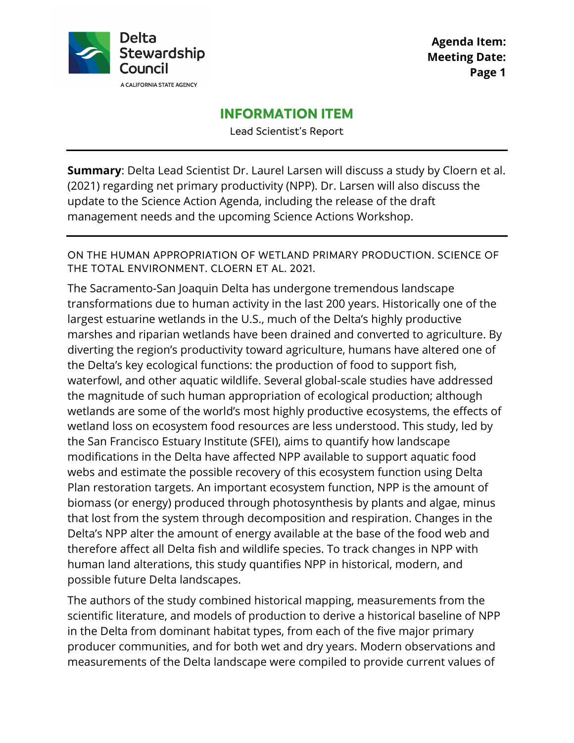

**Agenda Item: Meeting Date: Page 1**

# **INFORMATION ITEM**

Lead Scientist's Report

**Summary**: Delta Lead Scientist Dr. Laurel Larsen will discuss a study by Cloern et al. (2021) regarding net primary productivity (NPP). Dr. Larsen will also discuss the update to the Science Action Agenda, including the release of the draft management needs and the upcoming Science Actions Workshop.

ON THE HUMAN APPROPRIATION OF WETLAND PRIMARY PRODUCTION. SCIENCE OF THE TOTAL ENVIRONMENT. CLOERN ET AL. 2021.

The Sacramento-San Joaquin Delta has undergone tremendous landscape transformations due to human activity in the last 200 years. Historically one of the largest estuarine wetlands in the U.S., much of the Delta's highly productive marshes and riparian wetlands have been drained and converted to agriculture. By diverting the region's productivity toward agriculture, humans have altered one of the Delta's key ecological functions: the production of food to support fish, waterfowl, and other aquatic wildlife. Several global-scale studies have addressed the magnitude of such human appropriation of ecological production; although wetlands are some of the world's most highly productive ecosystems, the effects of wetland loss on ecosystem food resources are less understood. This study, led by the San Francisco Estuary Institute (SFEI), aims to quantify how landscape modifications in the Delta have affected NPP available to support aquatic food webs and estimate the possible recovery of this ecosystem function using Delta Plan restoration targets. An important ecosystem function, NPP is the amount of biomass (or energy) produced through photosynthesis by plants and algae, minus that lost from the system through decomposition and respiration. Changes in the Delta's NPP alter the amount of energy available at the base of the food web and therefore affect all Delta fish and wildlife species. To track changes in NPP with human land alterations, this study quantifies NPP in historical, modern, and possible future Delta landscapes.

The authors of the study combined historical mapping, measurements from the scientific literature, and models of production to derive a historical baseline of NPP in the Delta from dominant habitat types, from each of the five major primary producer communities, and for both wet and dry years. Modern observations and measurements of the Delta landscape were compiled to provide current values of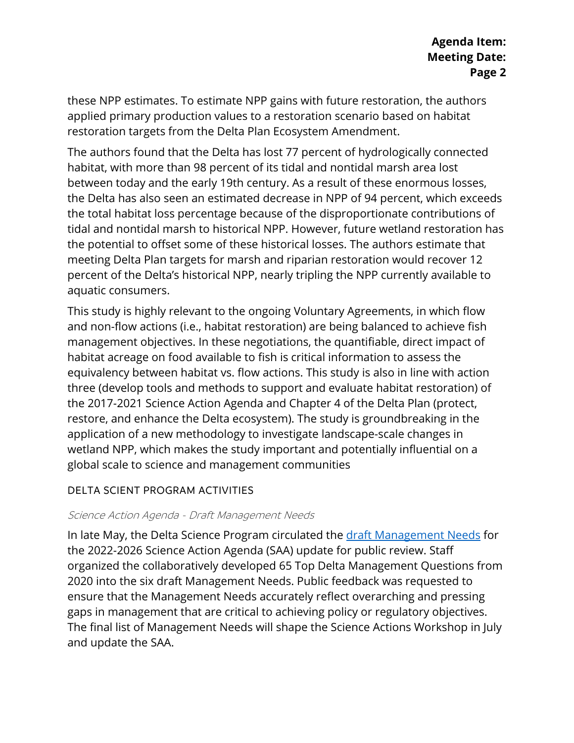these NPP estimates. To estimate NPP gains with future restoration, the authors applied primary production values to a restoration scenario based on habitat restoration targets from the Delta Plan Ecosystem Amendment.

The authors found that the Delta has lost 77 percent of hydrologically connected habitat, with more than 98 percent of its tidal and nontidal marsh area lost between today and the early 19th century. As a result of these enormous losses, the Delta has also seen an estimated decrease in NPP of 94 percent, which exceeds the total habitat loss percentage because of the disproportionate contributions of tidal and nontidal marsh to historical NPP. However, future wetland restoration has the potential to offset some of these historical losses. The authors estimate that meeting Delta Plan targets for marsh and riparian restoration would recover 12 percent of the Delta's historical NPP, nearly tripling the NPP currently available to aquatic consumers.

This study is highly relevant to the ongoing Voluntary Agreements, in which flow and non-flow actions (i.e., habitat restoration) are being balanced to achieve fish management objectives. In these negotiations, the quantifiable, direct impact of habitat acreage on food available to fish is critical information to assess the equivalency between habitat vs. flow actions. This study is also in line with action three (develop tools and methods to support and evaluate habitat restoration) of the 2017-2021 Science Action Agenda and Chapter 4 of the Delta Plan (protect, restore, and enhance the Delta ecosystem). The study is groundbreaking in the application of a new methodology to investigate landscape-scale changes in wetland NPP, which makes the study important and potentially influential on a global scale to science and management communities

## DELTA SCIENT PROGRAM ACTIVITIES

## Science Action Agenda - Draft Management Needs

In late May, the Delta Science Program circulated the draft Management Needs for the 2022-2026 Science Action Agenda (SAA) update for public review. Staff organized the collaboratively developed 65 Top Delta Management Questions from 2020 into the six draft Management Needs. Public feedback was requested to ensure that the Management Needs accurately reflect overarching and pressing gaps in management that are critical to achieving policy or regulatory objectives. The final list of Management Needs will shape the Science Actions Workshop in July and update the SAA.